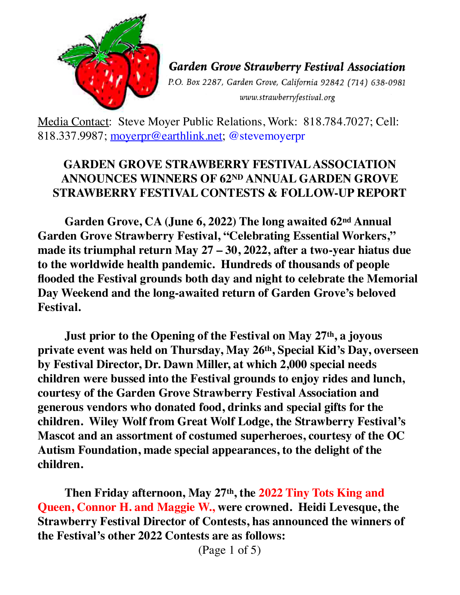

**Garden Grove Strawberry Festival Association** P.O. Box 2287, Garden Grove, California 92842 (714) 638-0981 www.strawberryfestival.org

Media Contact: Steve Moyer Public Relations, Work: 818.784.7027; Cell: 818.337.9987; [moyerpr@earthlink.net](mailto:moyerpr@earthlink.net); @stevemoyerpr

## **GARDEN GROVE STRAWBERRY FESTIVAL ASSOCIATION ANNOUNCES WINNERS OF 62ND ANNUAL GARDEN GROVE STRAWBERRY FESTIVAL CONTESTS & FOLLOW-UP REPORT**

**Garden Grove, CA (June 6, 2022) The long awaited 62nd Annual Garden Grove Strawberry Festival, "Celebrating Essential Workers," made its triumphal return May 27 – 30, 2022, after a two-year hiatus due to the worldwide health pandemic. Hundreds of thousands of people flooded the Festival grounds both day and night to celebrate the Memorial Day Weekend and the long-awaited return of Garden Grove's beloved Festival.**

**Just prior to the Opening of the Festival on May 27th, a joyous private event was held on Thursday, May 26th, Special Kid's Day, overseen by Festival Director, Dr. Dawn Miller, at which 2,000 special needs children were bussed into the Festival grounds to enjoy rides and lunch, courtesy of the Garden Grove Strawberry Festival Association and generous vendors who donated food, drinks and special gifts for the children. Wiley Wolf from Great Wolf Lodge, the Strawberry Festival's Mascot and an assortment of costumed superheroes, courtesy of the OC Autism Foundation, made special appearances, to the delight of the children.**

**Then Friday afternoon, May 27th, the 2022 Tiny Tots King and Queen, Connor H. and Maggie W., were crowned. Heidi Levesque, the Strawberry Festival Director of Contests, has announced the winners of the Festival's other 2022 Contests are as follows:**

(Page 1 of 5)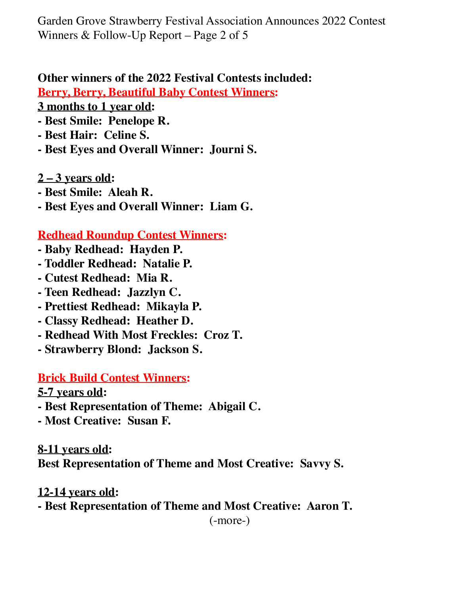Garden Grove Strawberry Festival Association Announces 2022 Contest Winners & Follow-Up Report – Page 2 of 5

## **Other winners of the 2022 Festival Contests included:**

**Berry, Berry, Beautiful Baby Contest Winners:**

**3 months to 1 year old:**

- **Best Smile: Penelope R.**
- **Best Hair: Celine S.**
- **Best Eyes and Overall Winner: Journi S.**

**2 – 3 years old:**

- **Best Smile: Aleah R.**
- **Best Eyes and Overall Winner: Liam G.**

## **Redhead Roundup Contest Winners:**

- **Baby Redhead: Hayden P.**
- **Toddler Redhead: Natalie P.**
- **Cutest Redhead: Mia R.**
- **Teen Redhead: Jazzlyn C.**
- **Prettiest Redhead: Mikayla P.**
- **Classy Redhead: Heather D.**
- **Redhead With Most Freckles: Croz T.**
- **Strawberry Blond: Jackson S.**

## **Brick Build Contest Winners:**

**5-7 years old:**

- **Best Representation of Theme: Abigail C.**
- **Most Creative: Susan F.**

**8-11 years old: Best Representation of Theme and Most Creative: Savvy S.**

**12-14 years old: - Best Representation of Theme and Most Creative: Aaron T.** (-more-)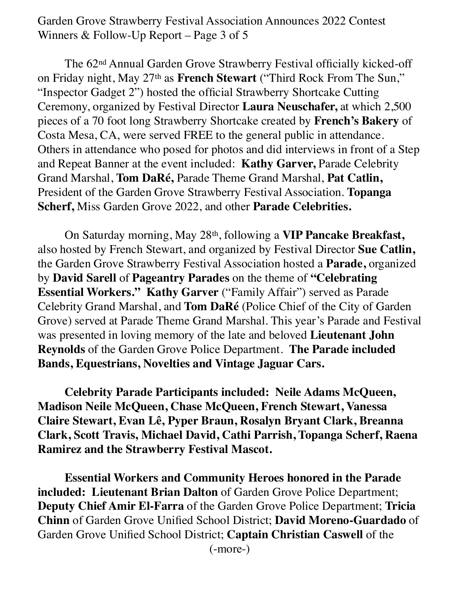Garden Grove Strawberry Festival Association Announces 2022 Contest Winners & Follow-Up Report – Page 3 of 5

The 62nd Annual Garden Grove Strawberry Festival officially kicked-off on Friday night, May 27th as **French Stewart** ("Third Rock From The Sun," "Inspector Gadget 2") hosted the official Strawberry Shortcake Cutting Ceremony, organized by Festival Director **Laura Neuschafer,** at which 2,500 pieces of a 70 foot long Strawberry Shortcake created by **French's Bakery** of Costa Mesa, CA, were served FREE to the general public in attendance. Others in attendance who posed for photos and did interviews in front of a Step and Repeat Banner at the event included: **Kathy Garver,** Parade Celebrity Grand Marshal, **Tom DaRé,** Parade Theme Grand Marshal, **Pat Catlin,** President of the Garden Grove Strawberry Festival Association. **Topanga Scherf,** Miss Garden Grove 2022, and other **Parade Celebrities.**

On Saturday morning, May 28th, following a **VIP Pancake Breakfast,** also hosted by French Stewart, and organized by Festival Director **Sue Catlin,** the Garden Grove Strawberry Festival Association hosted a **Parade,** organized by **David Sarell** of **Pageantry Parades** on the theme of **"Celebrating Essential Workers." Kathy Garver** ("Family Affair") served as Parade Celebrity Grand Marshal, and **Tom DaRé** (Police Chief of the City of Garden Grove) served at Parade Theme Grand Marshal. This year's Parade and Festival was presented in loving memory of the late and beloved **Lieutenant John Reynolds** of the Garden Grove Police Department. **The Parade included Bands, Equestrians, Novelties and Vintage Jaguar Cars.**

**Celebrity Parade Participants included: Neile Adams McQueen, Madison Neile McQueen, Chase McQueen, French Stewart, Vanessa Claire Stewart, Evan Lê, Pyper Braun, Rosalyn Bryant Clark, Breanna Clark, Scott Travis, Michael David, Cathi Parrish, Topanga Scherf, Raena Ramirez and the Strawberry Festival Mascot.**

**Essential Workers and Community Heroes honored in the Parade included: Lieutenant Brian Dalton** of Garden Grove Police Department; **Deputy Chief Amir El-Farra** of the Garden Grove Police Department; **Tricia Chinn** of Garden Grove Unified School District; **David Moreno-Guardado** of Garden Grove Unified School District; **Captain Christian Caswell** of the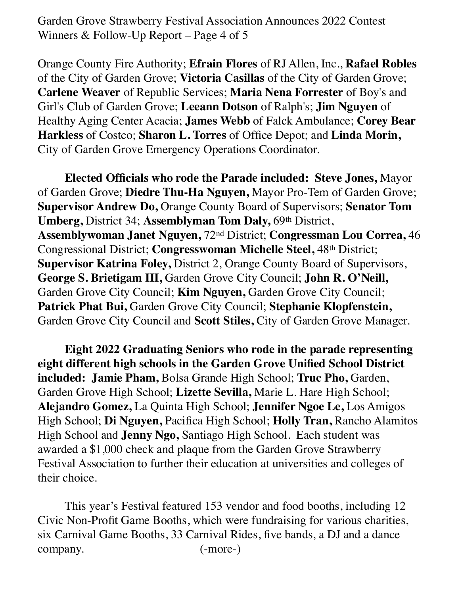Garden Grove Strawberry Festival Association Announces 2022 Contest Winners  $&$  Follow-Up Report – Page 4 of 5

Orange County Fire Authority; **Efrain Flores** of RJ Allen, Inc., **Rafael Robles**  of the City of Garden Grove; **Victoria Casillas** of the City of Garden Grove; **Carlene Weaver** of Republic Services; **Maria Nena Forrester** of Boy's and Girl's Club of Garden Grove; **Leeann Dotson** of Ralph's; **Jim Nguyen** of Healthy Aging Center Acacia; **James Webb** of Falck Ambulance; **Corey Bear Harkless** of Costco; **Sharon L. Torres** of Office Depot; and **Linda Morin,**  City of Garden Grove Emergency Operations Coordinator.

**Elected Officials who rode the Parade included: Steve Jones,** Mayor of Garden Grove; **Diedre Thu-Ha Nguyen,** Mayor Pro-Tem of Garden Grove; **Supervisor Andrew Do,** Orange County Board of Supervisors; **Senator Tom Umberg,** District 34; **Assemblyman Tom Daly,** 69th District, **Assemblywoman Janet Nguyen,** 72nd District; **Congressman Lou Correa,** 46 Congressional District; **Congresswoman Michelle Steel,** 48th District; **Supervisor Katrina Foley,** District 2, Orange County Board of Supervisors, **George S. Brietigam III,** Garden Grove City Council; **John R. O'Neill,** Garden Grove City Council; **Kim Nguyen,** Garden Grove City Council; **Patrick Phat Bui,** Garden Grove City Council; **Stephanie Klopfenstein,** Garden Grove City Council and **Scott Stiles,** City of Garden Grove Manager.

**Eight 2022 Graduating Seniors who rode in the parade representing eight different high schools in the Garden Grove Unified School District included: Jamie Pham,** Bolsa Grande High School; **Truc Pho,** Garden, Garden Grove High School; **Lizette Sevilla,** Marie L. Hare High School; **Alejandro Gomez,** La Quinta High School; **Jennifer Ngoe Le,** Los Amigos High School; **Di Nguyen,** Pacifica High School; **Holly Tran,** Rancho Alamitos High School and **Jenny Ngo,** Santiago High School. Each student was awarded a \$1,000 check and plaque from the Garden Grove Strawberry Festival Association to further their education at universities and colleges of their choice.

This year's Festival featured 153 vendor and food booths, including 12 Civic Non-Profit Game Booths, which were fundraising for various charities, six Carnival Game Booths, 33 Carnival Rides, five bands, a DJ and a dance company. (-more-)